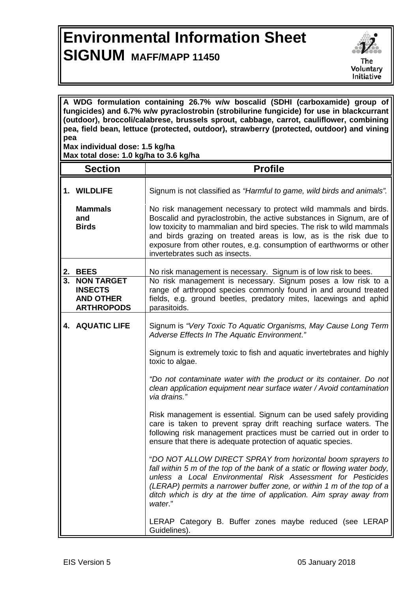## **Environmental Information Sheet SIGNUM MAFF/MAPP 11450**



**A WDG formulation containing 26.7% w/w boscalid (SDHI (carboxamide) group of fungicides) and 6.7% w/w pyraclostrobin (strobilurine fungicide) for use in blackcurrant (outdoor), broccoli/calabrese, brussels sprout, cabbage, carrot, cauliflower, combining pea, field bean, lettuce (protected, outdoor), strawberry (protected, outdoor) and vining pea Max individual dose: 1.5 kg/ha**

**Max total dose: 1.0 kg/ha to 3.6 kg/ha**

|          | <b>Section</b>                                                                              | <b>Profile</b>                                                                                                                                                                                                                                                                                                                                                                                                                       |
|----------|---------------------------------------------------------------------------------------------|--------------------------------------------------------------------------------------------------------------------------------------------------------------------------------------------------------------------------------------------------------------------------------------------------------------------------------------------------------------------------------------------------------------------------------------|
|          | 1. WILDLIFE<br><b>Mammals</b><br>and<br><b>Birds</b>                                        | Signum is not classified as "Harmful to game, wild birds and animals".<br>No risk management necessary to protect wild mammals and birds.<br>Boscalid and pyraclostrobin, the active substances in Signum, are of<br>low toxicity to mammalian and bird species. The risk to wild mammals<br>and birds grazing on treated areas is low, as is the risk due to<br>exposure from other routes, e.g. consumption of earthworms or other |
|          |                                                                                             | invertebrates such as insects.                                                                                                                                                                                                                                                                                                                                                                                                       |
| 2.<br>3. | <b>BEES</b><br><b>NON TARGET</b><br><b>INSECTS</b><br><b>AND OTHER</b><br><b>ARTHROPODS</b> | No risk management is necessary. Signum is of low risk to bees.<br>No risk management is necessary. Signum poses a low risk to a<br>range of arthropod species commonly found in and around treated<br>fields, e.g. ground beetles, predatory mites, lacewings and aphid<br>parasitoids.                                                                                                                                             |
|          | 4. AQUATIC LIFE                                                                             | Signum is "Very Toxic To Aquatic Organisms, May Cause Long Term<br>Adverse Effects In The Aquatic Environment."                                                                                                                                                                                                                                                                                                                      |
|          |                                                                                             | Signum is extremely toxic to fish and aquatic invertebrates and highly<br>toxic to algae.                                                                                                                                                                                                                                                                                                                                            |
|          |                                                                                             | "Do not contaminate water with the product or its container. Do not<br>clean application equipment near surface water / Avoid contamination<br>via drains."                                                                                                                                                                                                                                                                          |
|          |                                                                                             | Risk management is essential. Signum can be used safely providing<br>care is taken to prevent spray drift reaching surface waters. The<br>following risk management practices must be carried out in order to<br>ensure that there is adequate protection of aquatic species.                                                                                                                                                        |
|          |                                                                                             | "DO NOT ALLOW DIRECT SPRAY from horizontal boom sprayers to<br>fall within 5 m of the top of the bank of a static or flowing water body,<br>unless a Local Environmental Risk Assessment for Pesticides<br>(LERAP) permits a narrower buffer zone, or within 1 m of the top of a<br>ditch which is dry at the time of application. Aim spray away from<br>water."                                                                    |
|          |                                                                                             | LERAP Category B. Buffer zones maybe reduced (see LERAP<br>Guidelines).                                                                                                                                                                                                                                                                                                                                                              |